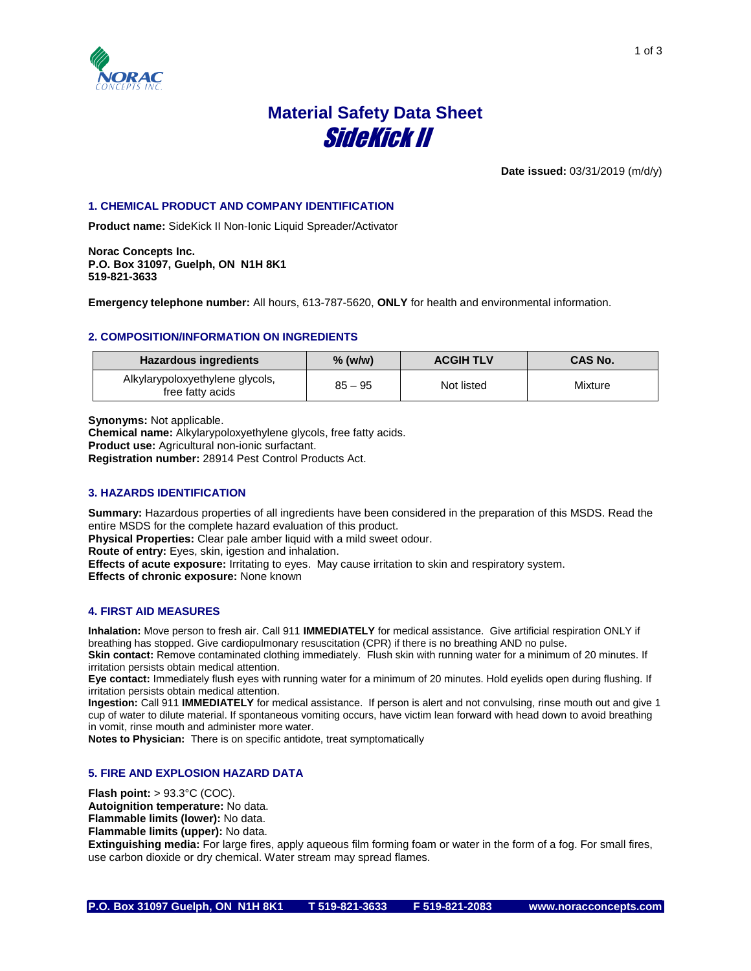

# **Material Safety Data Sheet** SideKick II

**Date issued:** 03/31/2019 (m/d/y)

# **1. CHEMICAL PRODUCT AND COMPANY IDENTIFICATION**

**Product name:** SideKick II Non-Ionic Liquid Spreader/Activator

**Norac Concepts Inc. P.O. Box 31097, Guelph, ON N1H 8K1 519-821-3633**

**Emergency telephone number:** All hours, 613-787-5620, **ONLY** for health and environmental information.

# **2. COMPOSITION/INFORMATION ON INGREDIENTS**

| <b>Hazardous ingredients</b>                        | $%$ (w/w) | <b>ACGIH TLV</b> | <b>CAS No.</b> |
|-----------------------------------------------------|-----------|------------------|----------------|
| Alkylarypoloxyethylene glycols,<br>free fatty acids | $85 - 95$ | Not listed       | Mixture        |

**Synonyms:** Not applicable.

**Chemical name:** Alkylarypoloxyethylene glycols, free fatty acids. **Product use:** Agricultural non-ionic surfactant. **Registration number:** 28914 Pest Control Products Act.

# **3. HAZARDS IDENTIFICATION**

**Summary:** Hazardous properties of all ingredients have been considered in the preparation of this MSDS. Read the entire MSDS for the complete hazard evaluation of this product.

**Physical Properties:** Clear pale amber liquid with a mild sweet odour.

**Route of entry:** Eyes, skin, igestion and inhalation.

**Effects of acute exposure:** Irritating to eyes. May cause irritation to skin and respiratory system. **Effects of chronic exposure:** None known

# **4. FIRST AID MEASURES**

**Inhalation:** Move person to fresh air. Call 911 **IMMEDIATELY** for medical assistance. Give artificial respiration ONLY if breathing has stopped. Give cardiopulmonary resuscitation (CPR) if there is no breathing AND no pulse. **Skin contact:** Remove contaminated clothing immediately. Flush skin with running water for a minimum of 20 minutes. If irritation persists obtain medical attention.

**Eye contact:** Immediately flush eyes with running water for a minimum of 20 minutes. Hold eyelids open during flushing. If irritation persists obtain medical attention.

**Ingestion:** Call 911 **IMMEDIATELY** for medical assistance. If person is alert and not convulsing, rinse mouth out and give 1 cup of water to dilute material. If spontaneous vomiting occurs, have victim lean forward with head down to avoid breathing in vomit, rinse mouth and administer more water.

**Notes to Physician:** There is on specific antidote, treat symptomatically

# **5. FIRE AND EXPLOSION HAZARD DATA**

**Flash point:** > 93.3°C (COC). **Autoignition temperature:** No data. **Flammable limits (lower):** No data. **Flammable limits (upper):** No data.

**Extinguishing media:** For large fires, apply aqueous film forming foam or water in the form of a fog. For small fires, use carbon dioxide or dry chemical. Water stream may spread flames.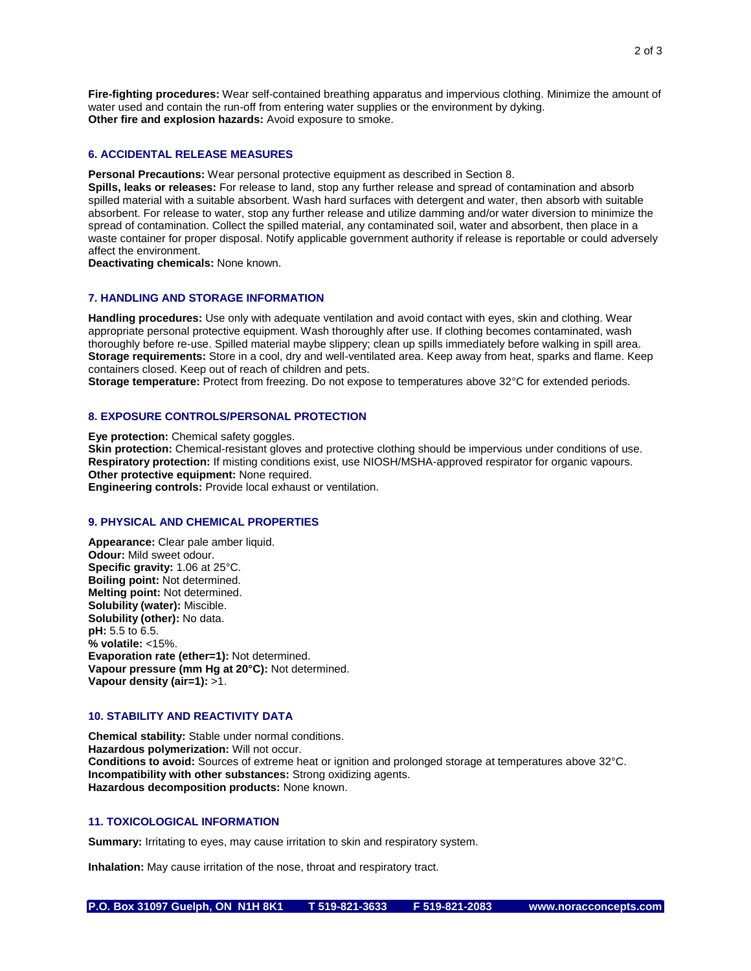**Fire-fighting procedures:** Wear self-contained breathing apparatus and impervious clothing. Minimize the amount of water used and contain the run-off from entering water supplies or the environment by dyking. **Other fire and explosion hazards:** Avoid exposure to smoke.

#### **6. ACCIDENTAL RELEASE MEASURES**

**Personal Precautions:** Wear personal protective equipment as described in Section 8.

**Spills, leaks or releases:** For release to land, stop any further release and spread of contamination and absorb spilled material with a suitable absorbent. Wash hard surfaces with detergent and water, then absorb with suitable absorbent. For release to water, stop any further release and utilize damming and/or water diversion to minimize the spread of contamination. Collect the spilled material, any contaminated soil, water and absorbent, then place in a waste container for proper disposal. Notify applicable government authority if release is reportable or could adversely affect the environment.

**Deactivating chemicals:** None known.

#### **7. HANDLING AND STORAGE INFORMATION**

**Handling procedures:** Use only with adequate ventilation and avoid contact with eyes, skin and clothing. Wear appropriate personal protective equipment. Wash thoroughly after use. If clothing becomes contaminated, wash thoroughly before re-use. Spilled material maybe slippery; clean up spills immediately before walking in spill area. **Storage requirements:** Store in a cool, dry and well-ventilated area. Keep away from heat, sparks and flame. Keep containers closed. Keep out of reach of children and pets.

**Storage temperature:** Protect from freezing. Do not expose to temperatures above 32°C for extended periods.

#### **8. EXPOSURE CONTROLS/PERSONAL PROTECTION**

**Eye protection:** Chemical safety goggles.

**Skin protection:** Chemical-resistant gloves and protective clothing should be impervious under conditions of use. **Respiratory protection:** If misting conditions exist, use NIOSH/MSHA-approved respirator for organic vapours. **Other protective equipment:** None required.

**Engineering controls:** Provide local exhaust or ventilation.

# **9. PHYSICAL AND CHEMICAL PROPERTIES**

**Appearance:** Clear pale amber liquid. **Odour:** Mild sweet odour. **Specific gravity:** 1.06 at 25°C. **Boiling point:** Not determined. **Melting point:** Not determined. **Solubility (water):** Miscible. **Solubility (other):** No data. **pH:** 5.5 to 6.5. **% volatile:** <15%. **Evaporation rate (ether=1):** Not determined. **Vapour pressure (mm Hg at 20°C):** Not determined. **Vapour density (air=1):** >1.

# **10. STABILITY AND REACTIVITY DATA**

**Chemical stability:** Stable under normal conditions. **Hazardous polymerization:** Will not occur. **Conditions to avoid:** Sources of extreme heat or ignition and prolonged storage at temperatures above 32°C. **Incompatibility with other substances:** Strong oxidizing agents. **Hazardous decomposition products:** None known.

#### **11. TOXICOLOGICAL INFORMATION**

**Summary:** Irritating to eyes, may cause irritation to skin and respiratory system.

**Inhalation:** May cause irritation of the nose, throat and respiratory tract.